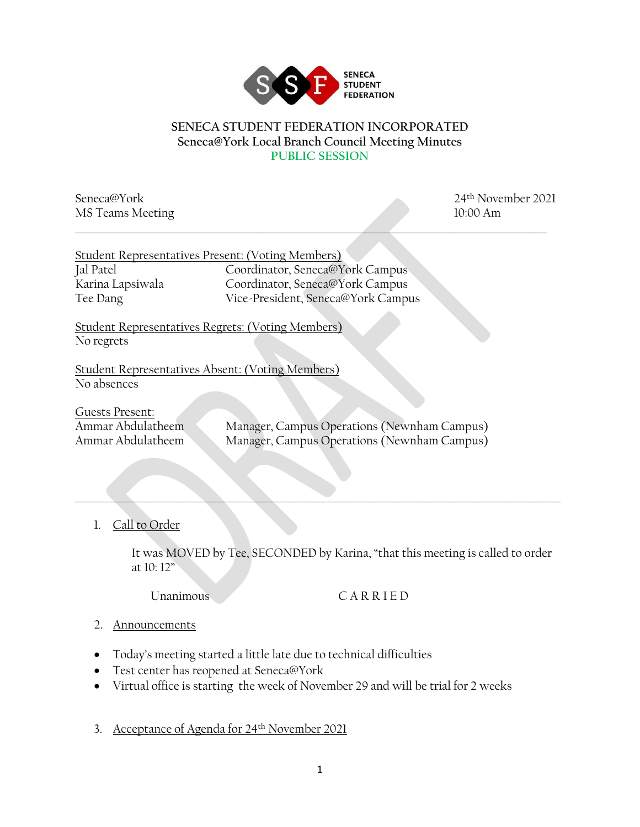

## **SENECA STUDENT FEDERATION INCORPORATED Seneca@York Local Branch Council Meeting Minutes PUBLIC SESSION**

\_\_\_\_\_\_\_\_\_\_\_\_\_\_\_\_\_\_\_\_\_\_\_\_\_\_\_\_\_\_\_\_\_\_\_\_\_\_\_\_\_\_\_\_\_\_\_\_\_\_\_\_\_\_\_\_\_\_\_\_\_\_\_\_\_\_\_\_\_\_\_\_\_\_\_\_\_\_\_\_\_\_\_\_\_\_\_\_\_\_\_\_\_\_\_\_\_\_\_\_

MS Teams Meeting 10:00 Am

Seneca@York 2021

| Student Representatives Present: (Voting Members)                      |                                                                                            |
|------------------------------------------------------------------------|--------------------------------------------------------------------------------------------|
| Jal Patel                                                              | Coordinator, Seneca@York Campus                                                            |
| Karina Lapsiwala                                                       | Coordinator, Seneca@York Campus                                                            |
| Tee Dang                                                               | Vice-President, Seneca@York Campus                                                         |
| <b>Student Representatives Regrets: (Voting Members)</b><br>No regrets |                                                                                            |
| Student Representatives Absent: (Voting Members)                       |                                                                                            |
| No absences                                                            |                                                                                            |
| Guests Present:<br>Ammar Abdulatheem<br>Ammar Abdulatheem              | Manager, Campus Operations (Newnham Campus)<br>Manager, Campus Operations (Newnham Campus) |

## 1. Call to Order

It was MOVED by Tee, SECONDED by Karina, "that this meeting is called to order at 10: 12"

 $\_\_\_\_\_\_\_\_\_\_\_\_$ 

Unanimous C A R R I E D

## 2. Announcements

- Today's meeting started a little late due to technical difficulties
- Test center has reopened at Seneca@York
- Virtual office is starting the week of November 29 and will be trial for 2 weeks
- 3. Acceptance of Agenda for 24th November 2021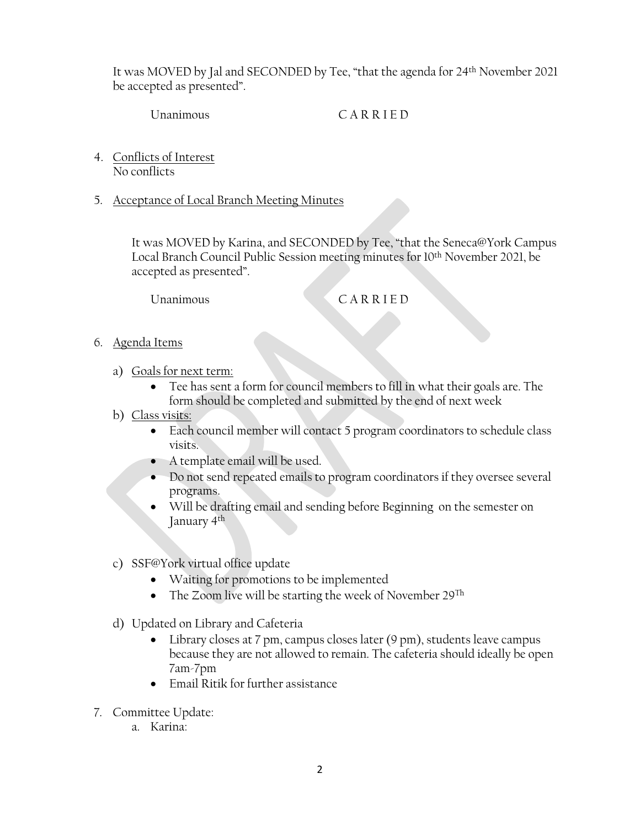It was MOVED by Jal and SECONDED by Tee, "that the agenda for 24th November 2021 be accepted as presented".

Unanimous CARRIED

- 4. Conflicts of Interest No conflicts
- 5. Acceptance of Local Branch Meeting Minutes

It was MOVED by Karina, and SECONDED by Tee, "that the Seneca@York Campus Local Branch Council Public Session meeting minutes for 10th November 2021, be accepted as presented".

Unanimous CARRIED

- 6. Agenda Items
	- a) Goals for next term:
		- Tee has sent a form for council members to fill in what their goals are. The form should be completed and submitted by the end of next week
	- b) Class visits:
		- Each council member will contact 5 program coordinators to schedule class visits.
		- A template email will be used.
		- Do not send repeated emails to program coordinators if they oversee several programs.
		- Will be drafting email and sending before Beginning on the semester on January 4th
	- c) SSF@York virtual office update
		- Waiting for promotions to be implemented
		- The Zoom live will be starting the week of November  $29^{Th}$
	- d) Updated on Library and Cafeteria
		- Library closes at 7 pm, campus closes later (9 pm), students leave campus because they are not allowed to remain. The cafeteria should ideally be open 7am-7pm
		- Email Ritik for further assistance
- 7. Committee Update:
	- a. Karina: